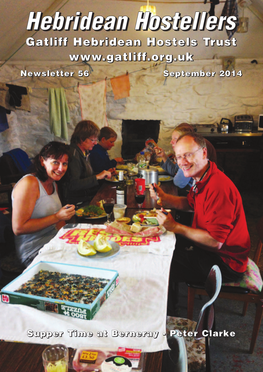# **Gatliff Hebridean Hostels Trust** *Hebridean Hostellers*

**www.gatliff.org.uk**

**Newsletter 56 September 2014**

**Supper Time at Berneray - Peter Clarke**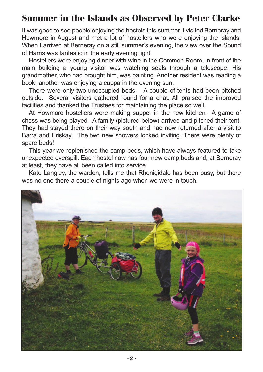## **Summer in the Islands as Observed by Peter Clarke**

It was good to see people enjoying the hostels this summer. I visited Berneray and Howmore in August and met a lot of hostellers who were enjoying the islands. When I arrived at Berneray on a still summer's evening, the view over the Sound of Harris was fantastic in the early evening light.

Hostellers were enjoying dinner with wine in the Common Room. In front of the main building a young visitor was watching seals through a telescope. His grandmother, who had brought him, was painting. Another resident was reading a book, another was enjoying a cuppa in the evening sun.

There were only two unoccupied beds! A couple of tents had been pitched outside. Several visitors gathered round for a chat. All praised the improved facilities and thanked the Trustees for maintaining the place so well.

At Howmore hostellers were making supper in the new kitchen. A game of chess was being played. A family (pictured below) arrived and pitched their tent. They had stayed there on their way south and had now returned after a visit to Barra and Eriskay. The two new showers looked inviting. There were plenty of spare beds!

This year we replenished the camp beds, which have always featured to take unexpected overspill. Each hostel now has four new camp beds and, at Berneray at least, they have all been called into service.

Kate Langley, the warden, tells me that Rhenigidale has been busy, but there was no one there a couple of nights ago when we were in touch.

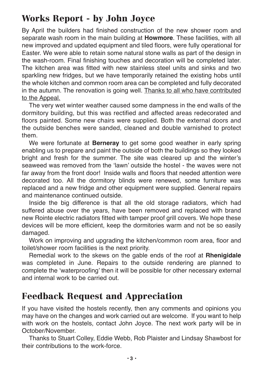## **Works Report - by John Joyce**

By April the builders had finished construction of the new shower room and separate wash room in the main building at **Howmore**. These facilities, with all new improved and updated equipment and tiled floors, were fully operational for Easter. We were able to retain some natural stone walls as part of the design in the wash-room. Final finishing touches and decoration will be completed later. The kitchen area was fitted with new stainless steel units and sinks and two sparkling new fridges, but we have temporarily retained the existing hobs until the whole kitchen and common room area can be completed and fully decorated in the autumn. The renovation is going well. Thanks to all who have contributed to the Appeal.

The very wet winter weather caused some dampness in the end walls of the dormitory building, but this was rectified and affected areas redecorated and floors painted. Some new chairs were supplied. Both the external doors and the outside benches were sanded, cleaned and double varnished to protect them.

We were fortunate at **Berneray** to get some good weather in early spring enabling us to prepare and paint the outside of both the buildings so they looked bright and fresh for the summer. The site was cleared up and the winter's seaweed was removed from the 'lawn' outside the hostel - the waves were not far away from the front door! Inside walls and floors that needed attention were decorated too. All the dormitory blinds were renewed, some furniture was replaced and a new fridge and other equipment were supplied. General repairs and maintenance continued outside.

Inside the big difference is that all the old storage radiators, which had suffered abuse over the years, have been removed and replaced with brand new Rointe electric radiators fitted with tamper proof grill covers. We hope these devices will be more efficient, keep the dormitories warm and not be so easily damaged.

Work on improving and upgrading the kitchen/common room area, floor and toilet/shower room facilities is the next priority.

Remedial work to the skews on the gable ends of the roof at **Rhenigidale** was completed in June. Repairs to the outside rendering are planned to complete the 'waterproofing' then it will be possible for other necessary external and internal work to be carried out.

#### **Feedback Request and Appreciation**

If you have visited the hostels recently, then any comments and opinions you may have on the changes and work carried out are welcome. If you want to help with work on the hostels, contact John Joyce. The next work party will be in October/November.

Thanks to Stuart Colley, Eddie Webb, Rob Plaister and Lindsay Shawbost for their contributions to the work-force.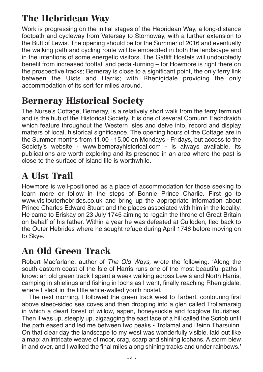# **The Hebridean Way**

Work is progressing on the initial stages of the Hebridean Way, a long-distance footpath and cycleway from Vatersay to Stornoway, with a further extension to the Butt of Lewis. The opening should be for the Summer of 2016 and eventually the walking path and cycling route will be embedded in both the landscape and in the intentions of some energetic visitors. The Gatliff Hostels will undoubtedly benefit from increased footfall and pedal-turning – for Howmore is right there on the prospective tracks; Berneray is close to a significant point, the only ferry link between the Uists and Harris; with Rhenigidale providing the only accommodation of its sort for miles around.

# **Berneray Historical Society**

The Nurse's Cottage, Berneray, is a relatively short walk from the ferry terminal and is the hub of the Historical Society. It is one of several Comunn Eachdraidh which feature throughout the Western Isles and delve into, record and display matters of local, historical significance. The opening hours of the Cottage are in the Summer months from 11.00 - 15.00 on Mondays - Fridays, but access to the Society's website - www.bernerayhistorical.com - is always available. Its publications are worth exploring and its presence in an area where the past is close to the surface of island life is worthwhile.

# **A Uist Trail**

Howmore is well-positioned as a place of accommodation for those seeking to learn more or follow in the steps of Bonnie Prince Charlie. First go to www.visitouterhebrides.co.uk and bring up the appropriate information about Prince Charles Edward Stuart and the places associated with him in the locality. He came to Eriskay on 23 July 1745 aiming to regain the throne of Great Britain on behalf of his father. Within a year he was defeated at Culloden, fled back to the Outer Hebrides where he sought refuge during April 1746 before moving on to Skye.

## **An Old Green Track**

Robert Macfarlane, author of *The Old Ways,* wrote the following: 'Along the south-eastern coast of the Isle of Harris runs one of the most beautiful paths I know: an old green track I spent a week walking across Lewis and North Harris, camping in shielings and fishing in lochs as I went, finally reaching Rhenigidale, where I slept in the little white-walled youth hostel.

The next morning, I followed the green track west to Tarbert, contouring first above steep-sided sea coves and then dropping into a glen called Trollamaraig in which a dwarf forest of willow, aspen, honeysuckle and foxglove flourishes. Then it was up, steeply up, zigzagging the east face of a hill called the Scriob until the path eased and led me between two peaks - Trolamal and Beinn Tharsuinn. On that clear day the landscape to my west was wonderfully visible, laid out like a map: an intricate weave of moor, crag, scarp and shining lochans. A storm blew in and over, and I walked the final miles along shining tracks and under rainbows.'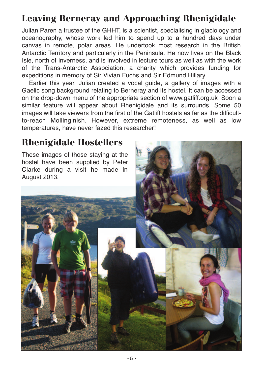# **Leaving Berneray and Approaching Rhenigidale**

Julian Paren a trustee of the GHHT, is a scientist, specialising in glaciology and oceanography, whose work led him to spend up to a hundred days under canvas in remote, polar areas. He undertook most research in the British Antarctic Territory and particularly in the Peninsula. He now lives on the Black Isle, north of Inverness, and is involved in lecture tours as well as with the work of the Trans-Antarctic Association, a charity which provides funding for expeditions in memory of Sir Vivian Fuchs and Sir Edmund Hillary.

Earlier this year, Julian created a vocal guide, a gallery of images with a Gaelic song background relating to Berneray and its hostel. It can be accessed on the drop-down menu of the appropriate section of www.gatliff.org.uk Soon a similar feature will appear about Rhenigidale and its surrounds. Some 50 images will take viewers from the first of the Gatliff hostels as far as the difficultto-reach Mollinginish. However, extreme remoteness, as well as low temperatures, have never fazed this researcher!

## **Rhenigidale Hostellers**

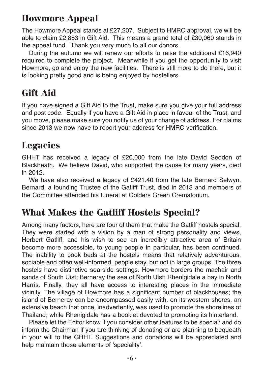## **Howmore Appeal**

The Howmore Appeal stands at £27,207. Subject to HMRC approval, we will be able to claim £2,853 in Gift Aid. This means a grand total of £30,060 stands in the appeal fund. Thank you very much to all our donors.

During the autumn we will renew our efforts to raise the additional £16,940 required to complete the project. Meanwhile if you get the opportunity to visit Howmore, go and enjoy the new facilities. There is still more to do there, but it is looking pretty good and is being enjoyed by hostellers.

# **Gift Aid**

If you have signed a Gift Aid to the Trust, make sure you give your full address and post code. Equally if you have a Gift Aid in place in favour of the Trust, and you move, please make sure you notify us of your change of address. For claims since 2013 we now have to report your address for HMRC verification.

## **Legacies**

GHHT has received a legacy of £20,000 from the late David Seddon of Blackheath. We believe David, who supported the cause for many years, died in 2012.

We have also received a legacy of £421.40 from the late Bernard Selwyn. Bernard, a founding Trustee of the Gatliff Trust, died in 2013 and members of the Committee attended his funeral at Golders Green Crematorium.

## **What Makes the Gatliff Hostels Special?**

Among many factors, here are four of them that make the Gatliff hostels special. They were started with a vision by a man of strong personality and views, Herbert Gatliff, and his wish to see an incredibly attractive area of Britain become more accessible, to young people in particular, has been continued. The inability to book beds at the hostels means that relatively adventurous, sociable and often well-informed, people stay, but not in large groups. The three hostels have distinctive sea-side settings. Howmore borders the machair and sands of South Uist; Berneray the sea of North Uist; Rhenigidale a bay in North Harris. Finally, they all have access to interesting places in the immediate vicinity. The village of Howmore has a significant number of blackhouses; the island of Berneray can be encompassed easily with, on its western shores, an extensive beach that once, inadvertently, was used to promote the shorelines of Thailand; while Rhenigidale has a booklet devoted to promoting its hinterland.

Please let the Editor know if you consider other features to be special; and do inform the Chairman if you are thinking of donating or are planning to bequeath in your will to the GHHT. Suggestions and donations will be appreciated and help maintain those elements of 'speciality'.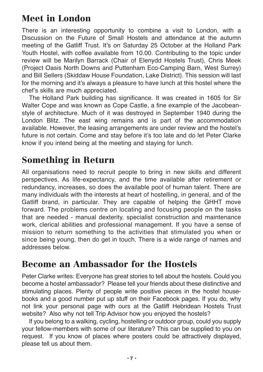## **Meet in London**

There is an interesting opportunity to combine a visit to London, with a Discussion on the Future of Small Hostels and attendance at the autumn meeting of the Gatliff Trust. It's on Saturday 25 October at the Holland Park Youth Hostel, with coffee available from 10.00. Contributing to the topic under review will be Marilyn Barrack (Chair of Elenydd Hostels Trust), Chris Meek (Project Oasis North Downs and Puttenham Eco-Camping Barn, West Surrey) and Bill Sellers (Skiddaw House Foundation, Lake District). This session will last for the morning and it's always a pleasure to have lunch at this hostel where the chef's skills are much appreciated.

The Holland Park building has significance. It was created in 1605 for Sir Walter Cope and was known as Cope Castle, a fine example of the Jacobeanstyle of architecture. Much of it was destroyed in September 1940 during the London Blitz. The east wing remains and is part of the accommodation available. However, the leasing arrangements are under review and the hostel's future is not certain. Come and stay before it's too late and do let Peter Clarke know if you intend being at the meeting and staying for lunch.

## **Something in Return**

All organisations need to recruit people to bring in new skills and different perspectives. As life-expectancy, and the time available after retirement or redundancy, increases, so does the available pool of human talent. There are many individuals with the interests at heart of hostelling, in general, and of the Gatliff brand, in particular. They are capable of helping the GHHT move forward. The problems centre on locating and focusing people on the tasks that are needed - manual dexterity, specialist construction and maintenance work, clerical abilities and professional management. If you have a sense of mission to return something to the activities that stimulated you when or since being young, then do get in touch. There is a wide range of names and addresses below.

#### **Become an Ambassador for the Hostels**

Peter Clarke writes: Everyone has great stories to tell about the hostels. Could you become a hostel ambassador? Please tell your friends about these distinctive and stimulating places. Plenty of people write positive pieces in the hostel housebooks and a good number put up stuff on their Facebook pages. If you do, why not link your personal page with ours at the Gatliff Hebridean Hostels Trust website? Also why not tell Trip Advisor how you enjoyed the hostels?

If you belong to a walking, cycling, hostelling or outdoor group, could you supply your fellow-members with some of our literature? This can be supplied to you on request. If you know of places where posters could be attractively displayed, please tell us about them.